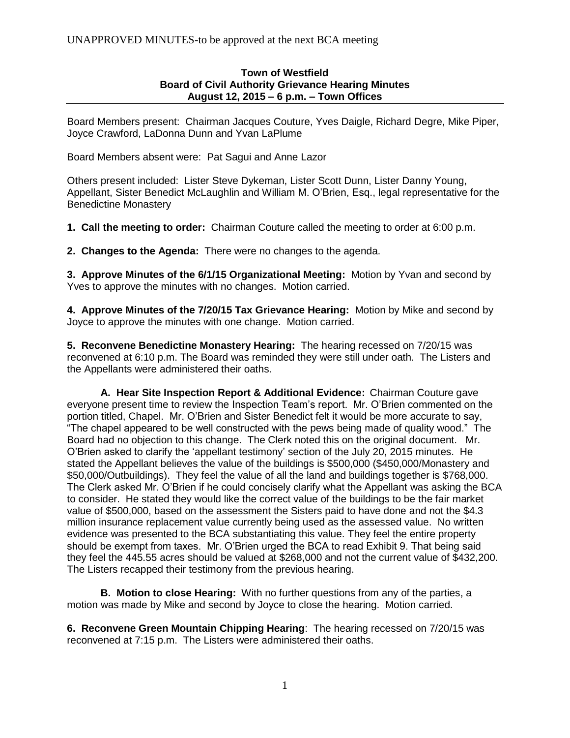## **Town of Westfield Board of Civil Authority Grievance Hearing Minutes August 12, 2015 – 6 p.m. – Town Offices**

Board Members present: Chairman Jacques Couture, Yves Daigle, Richard Degre, Mike Piper, Joyce Crawford, LaDonna Dunn and Yvan LaPlume

Board Members absent were: Pat Sagui and Anne Lazor

Others present included: Lister Steve Dykeman, Lister Scott Dunn, Lister Danny Young, Appellant, Sister Benedict McLaughlin and William M. O'Brien, Esq., legal representative for the Benedictine Monastery

**1. Call the meeting to order:** Chairman Couture called the meeting to order at 6:00 p.m.

**2. Changes to the Agenda:** There were no changes to the agenda.

**3. Approve Minutes of the 6/1/15 Organizational Meeting:** Motion by Yvan and second by Yves to approve the minutes with no changes. Motion carried.

**4. Approve Minutes of the 7/20/15 Tax Grievance Hearing:** Motion by Mike and second by Joyce to approve the minutes with one change. Motion carried.

**5. Reconvene Benedictine Monastery Hearing:** The hearing recessed on 7/20/15 was reconvened at 6:10 p.m. The Board was reminded they were still under oath. The Listers and the Appellants were administered their oaths.

**A. Hear Site Inspection Report & Additional Evidence:** Chairman Couture gave everyone present time to review the Inspection Team's report. Mr. O'Brien commented on the portion titled, Chapel. Mr. O'Brien and Sister Benedict felt it would be more accurate to say, "The chapel appeared to be well constructed with the pews being made of quality wood." The Board had no objection to this change. The Clerk noted this on the original document. Mr. O'Brien asked to clarify the 'appellant testimony' section of the July 20, 2015 minutes. He stated the Appellant believes the value of the buildings is \$500,000 (\$450,000/Monastery and \$50,000/Outbuildings). They feel the value of all the land and buildings together is \$768,000. The Clerk asked Mr. O'Brien if he could concisely clarify what the Appellant was asking the BCA to consider. He stated they would like the correct value of the buildings to be the fair market value of \$500,000, based on the assessment the Sisters paid to have done and not the \$4.3 million insurance replacement value currently being used as the assessed value. No written evidence was presented to the BCA substantiating this value. They feel the entire property should be exempt from taxes. Mr. O'Brien urged the BCA to read Exhibit 9. That being said they feel the 445.55 acres should be valued at \$268,000 and not the current value of \$432,200. The Listers recapped their testimony from the previous hearing.

**B. Motion to close Hearing:** With no further questions from any of the parties, a motion was made by Mike and second by Joyce to close the hearing. Motion carried.

**6. Reconvene Green Mountain Chipping Hearing**: The hearing recessed on 7/20/15 was reconvened at 7:15 p.m. The Listers were administered their oaths.